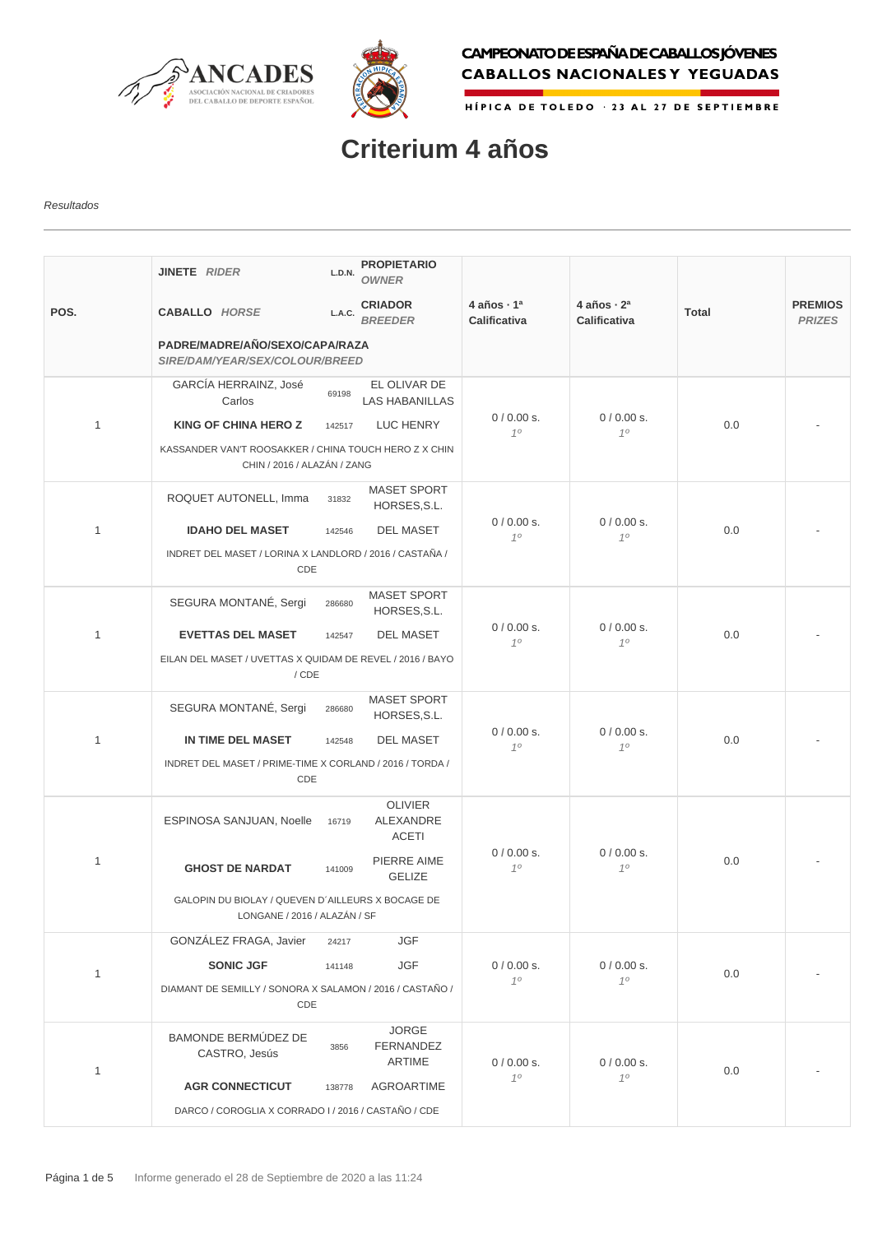



## CAMPEONATO DE ESPAÑA DE CABALLOS JÓVENES **CABALLOS NACIONALES Y YEGUADAS**

HÍPICA DE TOLEDO - 23 AL 27 DE SEPTIEMBRE

## **Criterium 4 años**

## Resultados

|              | JINETE RIDER                                                                         | L.D.N. | <b>PROPIETARIO</b><br><b>OWNER</b>          |                                               |                                               |              |                                 |
|--------------|--------------------------------------------------------------------------------------|--------|---------------------------------------------|-----------------------------------------------|-----------------------------------------------|--------------|---------------------------------|
| POS.         | <b>CABALLO HORSE</b>                                                                 | L.A.C. | <b>CRIADOR</b><br><b>BREEDER</b>            | 4 años $\cdot$ 1 <sup>a</sup><br>Calificativa | 4 años $\cdot$ 2 <sup>a</sup><br>Calificativa | <b>Total</b> | <b>PREMIOS</b><br><b>PRIZES</b> |
|              | PADRE/MADRE/AÑO/SEXO/CAPA/RAZA<br>SIRE/DAM/YEAR/SEX/COLOUR/BREED                     |        |                                             |                                               |                                               |              |                                 |
|              | GARCÍA HERRAINZ, José<br>Carlos                                                      | 69198  | EL OLIVAR DE<br><b>LAS HABANILLAS</b>       |                                               |                                               |              |                                 |
| $\mathbf{1}$ | <b>KING OF CHINA HERO Z</b>                                                          | 142517 | LUC HENRY                                   | $0/0.00 s$ .<br>10                            | 0/0.00 s.<br>10                               | 0.0          |                                 |
|              | KASSANDER VAN'T ROOSAKKER / CHINA TOUCH HERO Z X CHIN<br>CHIN / 2016 / ALAZÁN / ZANG |        |                                             |                                               |                                               |              |                                 |
|              | ROQUET AUTONELL, Imma                                                                | 31832  | <b>MASET SPORT</b><br>HORSES, S.L.          |                                               |                                               |              |                                 |
| $\mathbf{1}$ | <b>IDAHO DEL MASET</b>                                                               | 142546 | <b>DEL MASET</b>                            | $0/0.00 s$ .<br>10                            | $0/0.00 s$ .<br>10                            | 0.0          |                                 |
|              | INDRET DEL MASET / LORINA X LANDLORD / 2016 / CASTAÑA /<br>CDE                       |        |                                             |                                               |                                               |              |                                 |
|              | SEGURA MONTANÉ, Sergi                                                                | 286680 | <b>MASET SPORT</b><br>HORSES, S.L.          | $0/0.00 s$ .<br>10                            | $0/0.00 s$ .<br>10                            | 0.0          |                                 |
| $\mathbf{1}$ | <b>EVETTAS DEL MASET</b>                                                             | 142547 | <b>DEL MASET</b>                            |                                               |                                               |              |                                 |
|              | EILAN DEL MASET / UVETTAS X QUIDAM DE REVEL / 2016 / BAYO<br>/ CDE                   |        |                                             |                                               |                                               |              |                                 |
|              | SEGURA MONTANÉ, Sergi                                                                | 286680 | <b>MASET SPORT</b><br>HORSES, S.L.          |                                               | $0/0.00 s$ .<br>$10^{-1}$                     | 0.0          |                                 |
| 1            | IN TIME DEL MASET                                                                    | 142548 | <b>DEL MASET</b>                            | $0/0.00 s$ .<br>10                            |                                               |              |                                 |
|              | INDRET DEL MASET / PRIME-TIME X CORLAND / 2016 / TORDA /<br>CDE                      |        |                                             |                                               |                                               |              |                                 |
|              | ESPINOSA SANJUAN, Noelle                                                             | 16719  | <b>OLIVIER</b><br>ALEXANDRE<br><b>ACETI</b> | 0/0.00 s.<br>10                               | 0/0.00 s.<br>10                               | 0.0          |                                 |
| $\mathbf{1}$ | <b>GHOST DE NARDAT</b>                                                               | 141009 | PIERRE AIME<br><b>GELIZE</b>                |                                               |                                               |              |                                 |
|              | GALOPIN DU BIOLAY / QUEVEN D'AILLEURS X BOCAGE DE<br>LONGANE / 2016 / ALAZÁN / SF    |        |                                             |                                               |                                               |              |                                 |
|              | GONZÁLEZ FRAGA, Javier                                                               | 24217  | <b>JGF</b>                                  |                                               |                                               |              |                                 |
| 1            | <b>SONIC JGF</b>                                                                     | 141148 | <b>JGF</b>                                  | 0/0.00 s.<br>10                               | 0/0.00 s.<br>10                               | 0.0          |                                 |
|              | DIAMANT DE SEMILLY / SONORA X SALAMON / 2016 / CASTAÑO /<br>CDE                      |        |                                             |                                               |                                               |              |                                 |
| 1            | BAMONDE BERMÚDEZ DE<br>CASTRO, Jesús                                                 | 3856   | <b>JORGE</b><br>FERNANDEZ<br>ARTIME         | 0/0.00 s.                                     | 0/0.00 s.                                     | 0.0          |                                 |
|              | <b>AGR CONNECTICUT</b>                                                               | 138778 | AGROARTIME                                  | 10                                            | 10                                            |              |                                 |
|              | DARCO / COROGLIA X CORRADO I / 2016 / CASTAÑO / CDE                                  |        |                                             |                                               |                                               |              |                                 |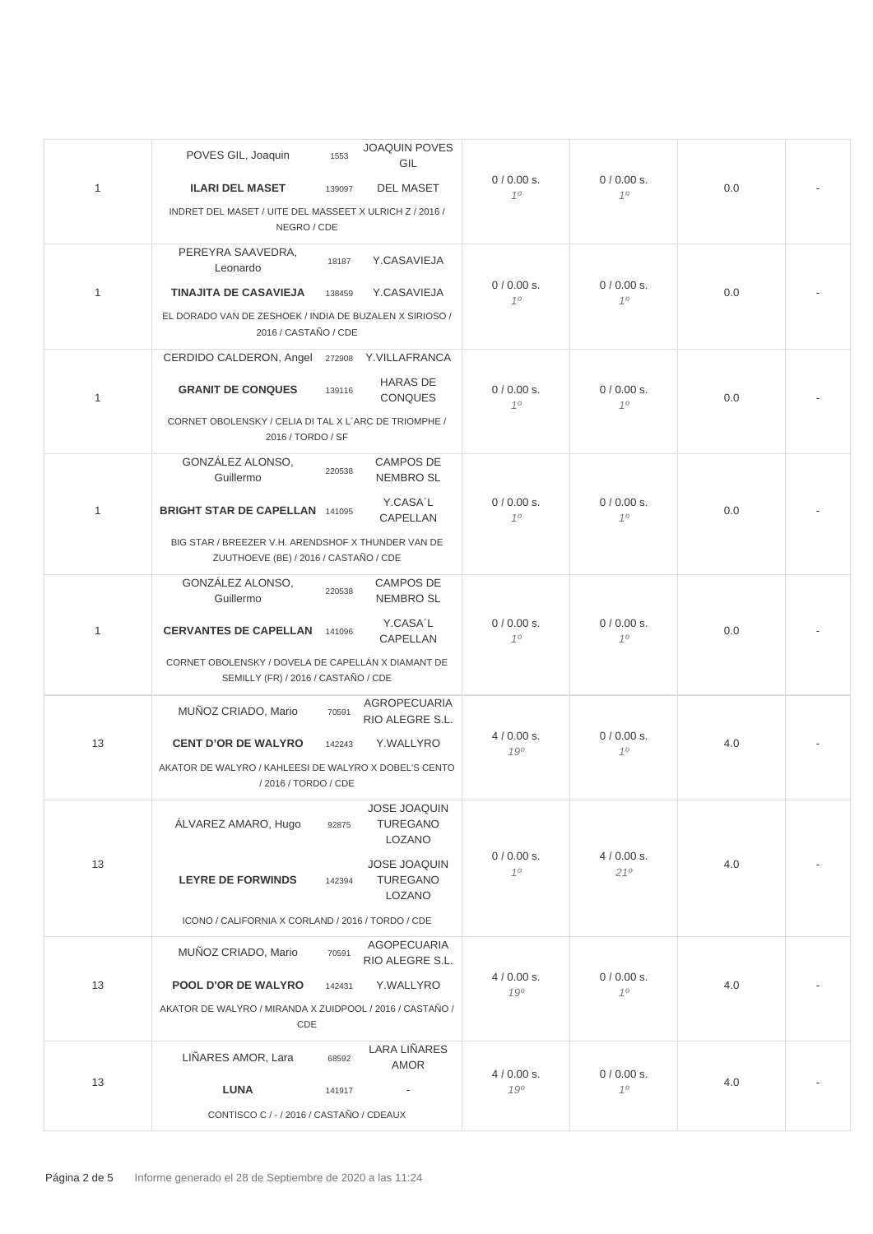|              | POVES GIL, Joaquin                                                                          | 1553   | <b>JOAQUIN POVES</b><br>GIL                      |                    |                    |     |  |
|--------------|---------------------------------------------------------------------------------------------|--------|--------------------------------------------------|--------------------|--------------------|-----|--|
| 1            | <b>ILARI DEL MASET</b>                                                                      | 139097 | <b>DEL MASET</b>                                 | 0/0.00 s.          | 0/0.00 s.          | 0.0 |  |
|              | INDRET DEL MASET / UITE DEL MASSEET X ULRICH Z / 2016 /<br>NEGRO / CDE                      |        |                                                  | 10                 | 10                 |     |  |
|              | PEREYRA SAAVEDRA,<br>Leonardo                                                               | 18187  | Y.CASAVIEJA                                      |                    |                    |     |  |
| 1            | <b>TINAJITA DE CASAVIEJA</b>                                                                | 138459 | Y.CASAVIEJA                                      | 0/0.00 s.<br>10    | 0/0.00 s.<br>10    | 0.0 |  |
|              | EL DORADO VAN DE ZESHOEK / INDIA DE BUZALEN X SIRIOSO /<br>2016 / CASTAÑO / CDE             |        |                                                  |                    |                    |     |  |
|              | CERDIDO CALDERON, Angel                                                                     | 272908 | Y.VILLAFRANCA                                    |                    |                    |     |  |
| 1            | <b>GRANIT DE CONQUES</b>                                                                    | 139116 | <b>HARAS DE</b><br><b>CONQUES</b>                | $0/0.00 s$ .<br>10 | 0/0.00 s.<br>10    | 0.0 |  |
|              | CORNET OBOLENSKY / CELIA DI TAL X L'ARC DE TRIOMPHE /<br>2016 / TORDO / SF                  |        |                                                  |                    |                    |     |  |
|              | GONZÁLEZ ALONSO,<br>Guillermo                                                               | 220538 | <b>CAMPOS DE</b><br><b>NEMBRO SL</b>             |                    |                    |     |  |
| $\mathbf{1}$ | <b>BRIGHT STAR DE CAPELLAN 141095</b>                                                       |        | Y.CASA'L<br>CAPELLAN                             | $0/0.00 s$ .<br>10 | $0/0.00 s$ .<br>10 | 0.0 |  |
|              | BIG STAR / BREEZER V.H. ARENDSHOF X THUNDER VAN DE<br>ZUUTHOEVE (BE) / 2016 / CASTAÑO / CDE |        |                                                  |                    |                    |     |  |
|              | GONZÁLEZ ALONSO,<br>Guillermo                                                               | 220538 | <b>CAMPOS DE</b><br><b>NEMBRO SL</b>             |                    |                    |     |  |
| $\mathbf{1}$ | <b>CERVANTES DE CAPELLAN</b>                                                                | 141096 | Y.CASA'L<br>CAPELLAN                             | $0/0.00 s$ .<br>10 | 0/0.00 s.<br>10    | 0.0 |  |
|              | CORNET OBOLENSKY / DOVELA DE CAPELLÁN X DIAMANT DE<br>SEMILLY (FR) / 2016 / CASTAÑO / CDE   |        |                                                  |                    |                    |     |  |
|              | MUÑOZ CRIADO, Mario                                                                         | 70591  | AGROPECUARIA<br>RIO ALEGRE S.L.                  | $4/0.00$ s.        | 0/0.00 s.          |     |  |
| 13           | <b>CENT D'OR DE WALYRO</b>                                                                  | 142243 | Y.WALLYRO                                        | 190                | 10                 | 4.0 |  |
|              | AKATOR DE WALYRO / KAHLEESI DE WALYRO X DOBEL'S CENTO<br>/ 2016 / TORDO / CDE               |        |                                                  |                    |                    |     |  |
|              | ÁLVAREZ AMARO, Hugo                                                                         | 92875  | <b>JOSE JOAQUIN</b><br><b>TUREGANO</b><br>LOZANO |                    |                    |     |  |
| 13           | <b>LEYRE DE FORWINDS</b>                                                                    | 142394 | JOSE JOAQUIN<br><b>TUREGANO</b><br>LOZANO        | 0/0.00 s.<br>10    | $4/0.00$ s.<br>210 | 4.0 |  |
|              | ICONO / CALIFORNIA X CORLAND / 2016 / TORDO / CDE                                           |        |                                                  |                    |                    |     |  |
|              | MUÑOZ CRIADO, Mario                                                                         | 70591  | <b>AGOPECUARIA</b><br>RIO ALEGRE S.L.            |                    |                    |     |  |
| 13           | POOL D'OR DE WALYRO                                                                         | 142431 | Y.WALLYRO                                        | $4/0.00$ s.<br>190 | 0/0.00 s.<br>10    | 4.0 |  |
|              | AKATOR DE WALYRO / MIRANDA X ZUIDPOOL / 2016 / CASTAÑO /<br>CDE                             |        |                                                  |                    |                    |     |  |
|              | LIÑARES AMOR, Lara                                                                          | 68592  | <b>LARA LIÑARES</b><br><b>AMOR</b>               | $4/0.00$ s.        | 0/0.00 s.          |     |  |
| 13           | <b>LUNA</b>                                                                                 | 141917 |                                                  | 190                | 10                 | 4.0 |  |
|              | CONTISCO C / - / 2016 / CASTAÑO / CDEAUX                                                    |        |                                                  |                    |                    |     |  |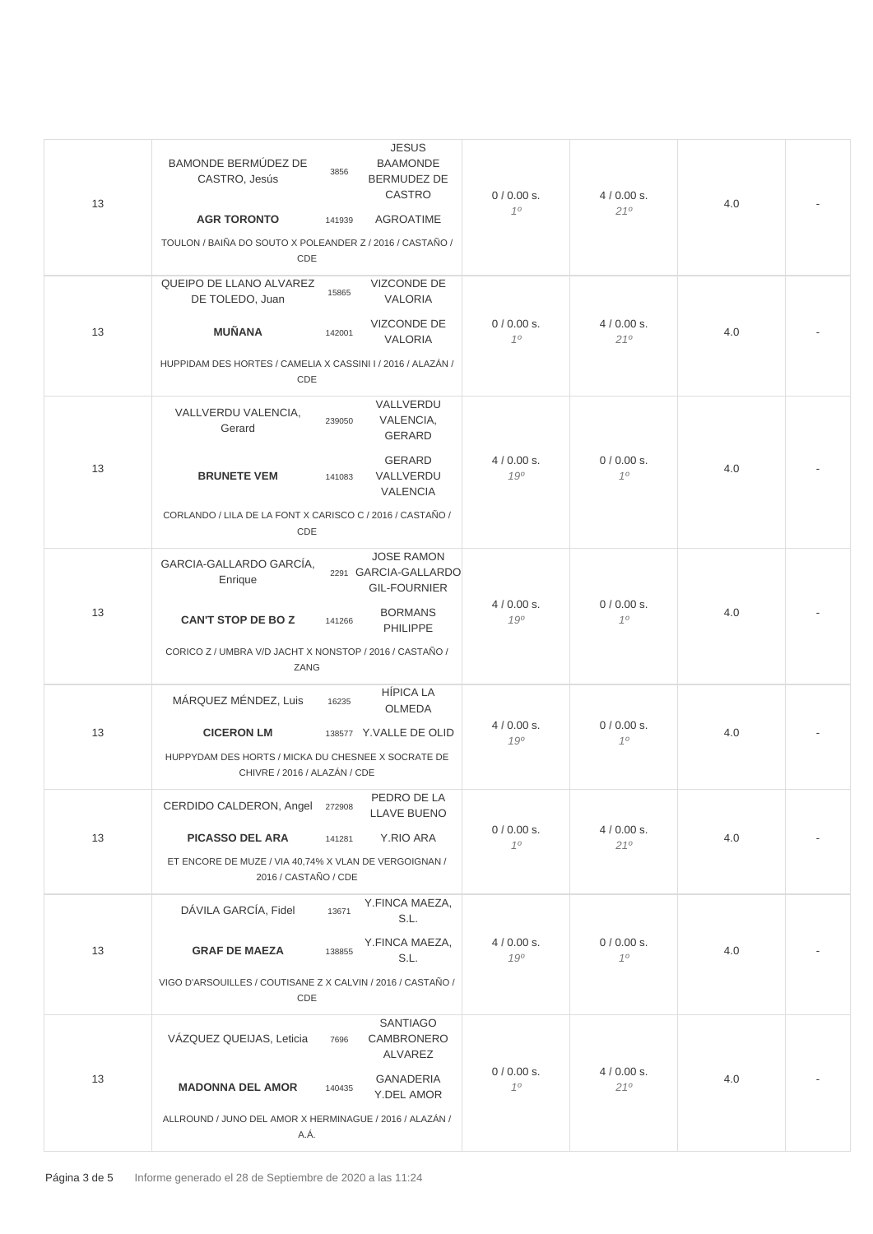| 13 | <b>JESUS</b><br><b>BAMONDE BERMÚDEZ DE</b><br><b>BAAMONDE</b><br>3856<br><b>BERMUDEZ DE</b><br>CASTRO, Jesús<br>CASTRO<br><b>AGR TORONTO</b><br><b>AGROATIME</b><br>141939<br>TOULON / BAIÑA DO SOUTO X POLEANDER Z / 2016 / CASTAÑO /<br>CDE | 0/0.00 s.<br>10    | $4/0.00$ s.<br>210 | 4.0 |  |
|----|-----------------------------------------------------------------------------------------------------------------------------------------------------------------------------------------------------------------------------------------------|--------------------|--------------------|-----|--|
|    | QUEIPO DE LLANO ALVAREZ<br><b>VIZCONDE DE</b><br>15865<br>VALORIA<br>DE TOLEDO, Juan                                                                                                                                                          |                    |                    |     |  |
| 13 | <b>VIZCONDE DE</b><br><b>MUÑANA</b><br>142001<br><b>VALORIA</b>                                                                                                                                                                               | $0/0.00 s$ .<br>10 | $4/0.00$ s.<br>210 | 4.0 |  |
|    | HUPPIDAM DES HORTES / CAMELIA X CASSINI I / 2016 / ALAZÁN /<br>CDE                                                                                                                                                                            |                    |                    |     |  |
|    | VALLVERDU<br>VALLVERDU VALENCIA,<br>VALENCIA,<br>239050<br>Gerard<br><b>GERARD</b>                                                                                                                                                            |                    |                    |     |  |
| 13 | <b>GERARD</b><br><b>BRUNETE VEM</b><br>VALLVERDU<br>141083<br><b>VALENCIA</b>                                                                                                                                                                 | $4/0.00$ s.<br>190 | $0/0.00 s$ .<br>10 | 4.0 |  |
|    | CORLANDO / LILA DE LA FONT X CARISCO C / 2016 / CASTAÑO /<br>CDE                                                                                                                                                                              |                    |                    |     |  |
|    | <b>JOSE RAMON</b><br>GARCIA-GALLARDO GARCÍA,<br>2291 GARCIA-GALLARDO<br>Enrique<br><b>GIL-FOURNIER</b>                                                                                                                                        |                    |                    |     |  |
| 13 | <b>BORMANS</b><br><b>CAN'T STOP DE BOZ</b><br>141266<br>PHILIPPE                                                                                                                                                                              | $4/0.00$ s.<br>190 | 0/0.00 s.<br>10    | 4.0 |  |
|    | CORICO Z / UMBRA V/D JACHT X NONSTOP / 2016 / CASTAÑO /<br>ZANG                                                                                                                                                                               |                    |                    |     |  |
|    | <b>HÍPICA LA</b><br>MÁRQUEZ MÉNDEZ, Luis<br>16235<br><b>OLMEDA</b>                                                                                                                                                                            | $4/0.00$ s.        | $0/0.00 s$ .<br>10 | 4.0 |  |
| 13 | <b>CICERON LM</b><br>138577 Y.VALLE DE OLID<br>HUPPYDAM DES HORTS / MICKA DU CHESNEE X SOCRATE DE<br>CHIVRE / 2016 / ALAZÁN / CDE                                                                                                             | 190                |                    |     |  |
|    | PEDRO DE LA<br>CERDIDO CALDERON, Angel<br>272908<br><b>LLAVE BUENO</b>                                                                                                                                                                        |                    | $4/0.00$ s.<br>210 | 4.0 |  |
| 13 | <b>PICASSO DEL ARA</b><br>Y.RIO ARA<br>141281                                                                                                                                                                                                 | 0/0.00 s.<br>10    |                    |     |  |
|    | ET ENCORE DE MUZE / VIA 40,74% X VLAN DE VERGOIGNAN /<br>2016 / CASTAÑO / CDE                                                                                                                                                                 |                    |                    |     |  |
|    | Y.FINCA MAEZA,<br>DÁVILA GARCÍA, Fidel<br>13671<br>S.L.                                                                                                                                                                                       |                    |                    |     |  |
| 13 | Y.FINCA MAEZA,<br><b>GRAF DE MAEZA</b><br>138855<br>S.L.                                                                                                                                                                                      | $4/0.00$ s.<br>190 | 0/0.00 s.<br>10    | 4.0 |  |
|    | VIGO D'ARSOUILLES / COUTISANE Z X CALVIN / 2016 / CASTAÑO /<br>CDE                                                                                                                                                                            |                    |                    |     |  |
| 13 | <b>SANTIAGO</b><br>VÁZQUEZ QUEIJAS, Leticia<br>CAMBRONERO<br>7696<br><b>ALVAREZ</b>                                                                                                                                                           |                    |                    |     |  |
|    | <b>GANADERIA</b><br><b>MADONNA DEL AMOR</b><br>140435<br>Y.DEL AMOR                                                                                                                                                                           | 0/0.00 s.<br>10    | $4/0.00$ s.<br>210 | 4.0 |  |
|    | ALLROUND / JUNO DEL AMOR X HERMINAGUE / 2016 / ALAZÁN /<br>A.Á.                                                                                                                                                                               |                    |                    |     |  |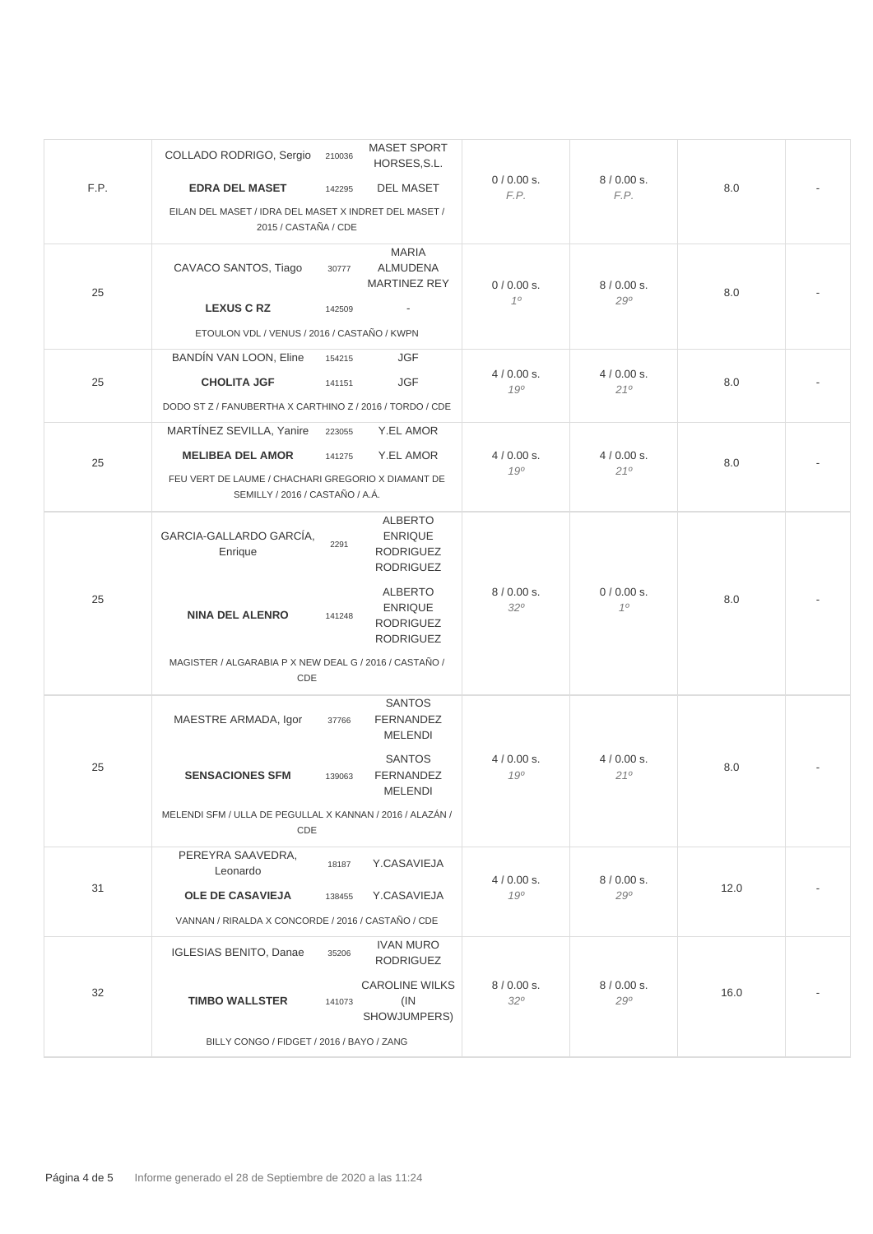|      | COLLADO RODRIGO, Sergio<br>210036                                                     | <b>MASET SPORT</b><br>HORSES, S.L.                                       |                           |                        |      |  |
|------|---------------------------------------------------------------------------------------|--------------------------------------------------------------------------|---------------------------|------------------------|------|--|
| F.P. | <b>EDRA DEL MASET</b><br>142295                                                       | <b>DEL MASET</b>                                                         | 0/0.00 s.<br>F.P.         | 8/0.00 s.<br>F.P.      | 8.0  |  |
|      | EILAN DEL MASET / IDRA DEL MASET X INDRET DEL MASET /<br>2015 / CASTAÑA / CDE         |                                                                          |                           |                        |      |  |
| 25   | CAVACO SANTOS, Tiago<br>30777                                                         | <b>MARIA</b><br><b>ALMUDENA</b><br><b>MARTINEZ REY</b>                   | 0/0.00 s.<br>10           | 8/0.00 s.              | 8.0  |  |
|      | <b>LEXUS C RZ</b><br>142509                                                           |                                                                          |                           | 290                    |      |  |
|      | ETOULON VDL / VENUS / 2016 / CASTAÑO / KWPN                                           |                                                                          |                           |                        |      |  |
|      | BANDÍN VAN LOON, Eline<br>154215                                                      | <b>JGF</b>                                                               |                           |                        |      |  |
| 25   | <b>CHOLITA JGF</b><br>141151                                                          | JGF                                                                      | $4/0.00$ s.<br>190        | $4/0.00$ s.<br>210     | 8.0  |  |
|      | DODO ST Z / FANUBERTHA X CARTHINO Z / 2016 / TORDO / CDE                              |                                                                          |                           |                        |      |  |
|      | MARTÍNEZ SEVILLA, Yanire<br>223055                                                    | Y.EL AMOR                                                                |                           |                        |      |  |
| 25   | <b>MELIBEA DEL AMOR</b><br>141275                                                     | Y.EL AMOR                                                                | $4/0.00$ s.               | $4/0.00$ s.<br>210     | 8.0  |  |
|      | FEU VERT DE LAUME / CHACHARI GREGORIO X DIAMANT DE<br>SEMILLY / 2016 / CASTAÑO / A.Á. |                                                                          | 190                       |                        |      |  |
|      | GARCIA-GALLARDO GARCÍA,<br>2291<br>Enrique                                            | <b>ALBERTO</b><br><b>ENRIQUE</b><br><b>RODRIGUEZ</b><br><b>RODRIGUEZ</b> |                           |                        |      |  |
| 25   | <b>NINA DEL ALENRO</b><br>141248                                                      | <b>ALBERTO</b><br><b>ENRIQUE</b><br><b>RODRIGUEZ</b><br><b>RODRIGUEZ</b> | 8/0.00 s.<br>320          | 0/0.00 s.<br>$10^{10}$ | 8.0  |  |
|      | MAGISTER / ALGARABIA P X NEW DEAL G / 2016 / CASTAÑO /<br>CDE                         |                                                                          |                           |                        |      |  |
|      | MAESTRE ARMADA, Igor<br>37766                                                         | <b>SANTOS</b><br><b>FERNANDEZ</b><br><b>MELENDI</b>                      |                           |                        |      |  |
| 25   | <b>SENSACIONES SFM</b><br>139063                                                      | <b>SANTOS</b><br><b>FERNANDEZ</b><br><b>MELENDI</b>                      | $4/0.00$ s.<br>190        | $4/0.00$ s.<br>210     | 8.0  |  |
|      | MELENDI SFM / ULLA DE PEGULLAL X KANNAN / 2016 / ALAZÁN /<br>CDE                      |                                                                          |                           |                        |      |  |
| 31   | PEREYRA SAAVEDRA,<br>18187<br>Leonardo                                                | Y.CASAVIEJA                                                              | $4/0.00$ s.               | 8/0.00 s.              |      |  |
|      | <b>OLE DE CASAVIEJA</b><br>138455                                                     | Y.CASAVIEJA                                                              | 190                       | 290                    | 12.0 |  |
|      | VANNAN / RIRALDA X CONCORDE / 2016 / CASTAÑO / CDE                                    |                                                                          |                           |                        |      |  |
|      | IGLESIAS BENITO, Danae<br>35206                                                       | <b>IVAN MURO</b><br><b>RODRIGUEZ</b>                                     |                           |                        |      |  |
| 32   | <b>TIMBO WALLSTER</b><br>141073                                                       | <b>CAROLINE WILKS</b><br>(IN)<br>SHOWJUMPERS)                            | 8/0.00 s.<br>$32^{\circ}$ | 8/0.00 s.<br>290       | 16.0 |  |
|      | BILLY CONGO / FIDGET / 2016 / BAYO / ZANG                                             |                                                                          |                           |                        |      |  |
|      |                                                                                       |                                                                          |                           |                        |      |  |